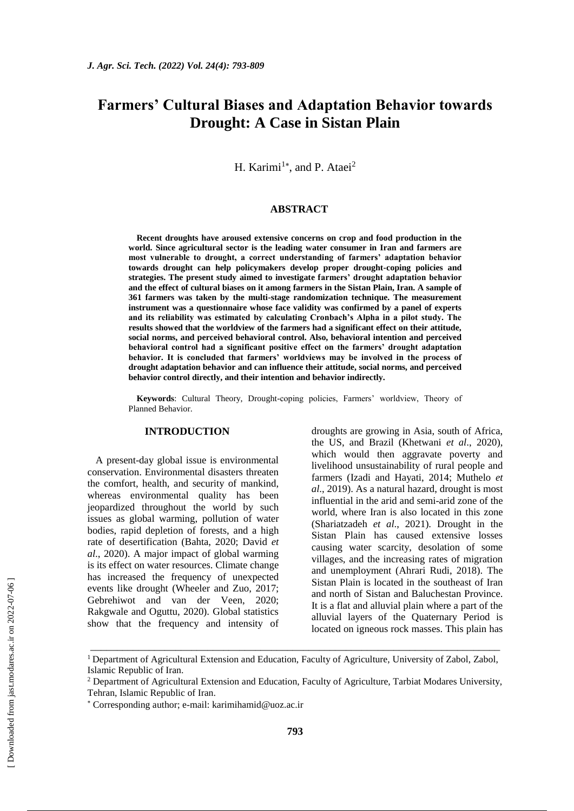# **Farmers' Cultural Biases and Adaptation Behavior towards Drought: A Case in Sistan Plain**

H. Karimi<sup>1\*</sup>, and P. Ataei<sup>2</sup>

## **ABSTRACT**

**Recent droughts have aroused extensive concerns on crop and food production in the world. Since agricultural sector is the leading water consumer in Iran and farmers are most vulnerable to drought, a correct understanding of farmers' adaptation behavior towards drought can help policymakers develop proper drought-coping policies and strategies. The present study aimed to investigate farmers' drought adaptation behavior and the effect of cultural biases on it among farmers in the Sistan Plain, Iran. A sample of 361 farmers was taken by the multi-stage randomization technique. The measurement instrument was a questionnaire whose face validity was confirmed by a panel of experts and its reliability was estimated by calculating Cronbach's Alpha in a pilot study. The results showed that the worldview of the farmers had a significant effect on their attitude, social norms, and perceived behavioral control. Also, behavioral intention and perceived behavioral control had a significant positive effect on the farmers' drought adaptation behavior. It is concluded that farmers' worldviews may be involved in the process of drought adaptation behavior and can influence their attitude, social norms, and perceived behavior control directly, and their intention and behavior indirectly.**

**Keywords**: Cultural Theory, Drought-coping policies, Farmers' worldview, Theory of Planned Behavior.

## **INTRODUCTION**

A present-day global issue is environmental conservation. Environmental disasters threaten the comfort, health, and security of mankind, whereas environmental quality has been jeopardized throughout the world by such issues as global warming, pollution of water bodies, rapid depletion of forests, and a high rate of desertification (Bahta, 2020; David *et al*., 2020). A major impact of global warming is its effect on water resources. Climate change has increased the frequency of unexpected events like drought (Wheeler and Zuo, 2017; Gebrehiwot and van der Veen, 2020; Rakgwale and Oguttu, 2020). Global statistics show that the frequency and intensity of droughts are growing in Asia, south of Africa, the US, and Brazil (Khetwani *et al*., 2020), which would then aggravate poverty and livelihood unsustainability of rural people and farmers (Izadi and Hayati, 2014; Muthelo *et al*., 2019). As a natural hazard, drought is most influential in the arid and semi-arid zone of the world, where Iran is also located in this zone (Shariatzadeh *et al*., 2021). Drought in the Sistan Plain has caused extensive losses causing water scarcity, desolation of some villages, and the increasing rates of migration and unemployment (Ahrari Rudi, 2018). The Sistan Plain is located in the southeast of Iran and north of Sistan and Baluchestan Province. It is a flat and alluvial plain where a part of the alluvial layers of the Quaternary Period is located on igneous rock masses. This plain has

\_\_\_\_\_\_\_\_\_\_\_\_\_\_\_\_\_\_\_\_\_\_\_\_\_\_\_\_\_\_\_\_\_\_\_\_\_\_\_\_\_\_\_\_\_\_\_\_\_\_\_\_\_\_\_\_\_\_\_\_\_\_\_\_\_\_\_\_\_\_\_\_\_\_\_\_\_

<sup>&</sup>lt;sup>1</sup> Department of Agricultural Extension and Education, Faculty of Agriculture, University of Zabol, Zabol, Islamic Republic of Iran.

<sup>2</sup> Department of Agricultural Extension and Education, Faculty of Agriculture, Tarbiat Modares University, Tehran, Islamic Republic of Iran.

Corresponding author; e-mail: [karimihamid@uoz.ac.ir](mailto:karimihamid@uoz.ac.ir)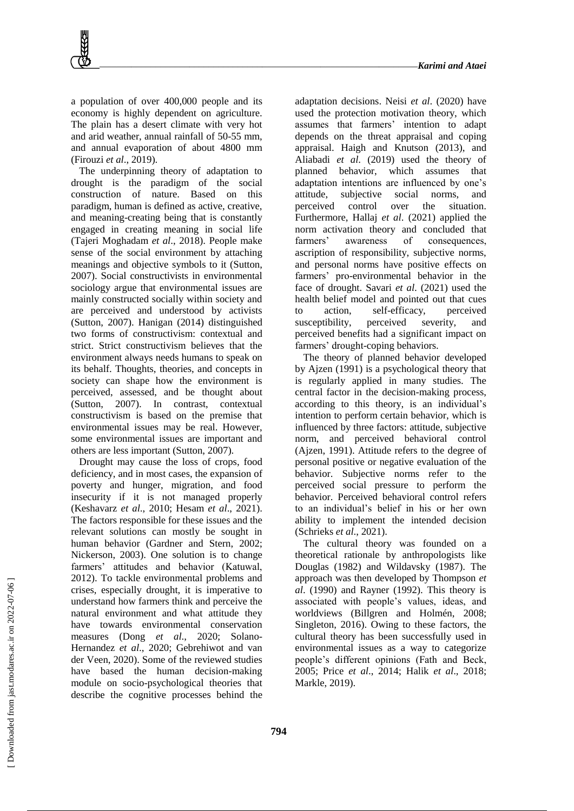a population of over 400,000 people and its economy is highly dependent on agriculture. The plain has a desert climate with very hot and arid weather, annual rainfall of 50-55 mm, and annual evaporation of about 4800 mm (Firouzi *et al*., 2019).

The underpinning theory of adaptation to drought is the paradigm of the social construction of nature. Based on this paradigm, human is defined as active, creative, and meaning-creating being that is constantly engaged in creating meaning in social life (Tajeri Moghadam *et al*., 2018). People make sense of the social environment by attaching meanings and objective symbols to it (Sutton, 2007). Social constructivists in environmental sociology argue that environmental issues are mainly constructed socially within society and are perceived and understood by activists (Sutton, 2007). Hanigan (2014) distinguished two forms of constructivism: contextual and strict. Strict constructivism believes that the environment always needs humans to speak on its behalf. Thoughts, theories, and concepts in society can shape how the environment is perceived, assessed, and be thought about (Sutton, 2007). In contrast, contextual constructivism is based on the premise that environmental issues may be real. However, some environmental issues are important and others are less important (Sutton, 2007).

Drought may cause the loss of crops, food deficiency, and in most cases, the expansion of poverty and hunger, migration, and food insecurity if it is not managed properly (Keshavarz *et al*., 2010; Hesam *et al*., 2021). The factors responsible for these issues and the relevant solutions can mostly be sought in human behavior (Gardner and Stern, 2002; Nickerson, 2003). One solution is to change farmers' attitudes and behavior (Katuwal, 2012). To tackle environmental problems and crises, especially drought, it is imperative to understand how farmers think and perceive the natural environment and what attitude they have towards environmental conservation measures (Dong *et al*., 2020; Solano-Hernandez *et al*., 2020; Gebrehiwot and van der Veen, 2020). Some of the reviewed studies have based the human decision-making module on socio-psychological theories that describe the cognitive processes behind the

adaptation decisions. Neisi *et al*. (2020) have used the protection motivation theory, which assumes that farmers' intention to adapt depends on the threat appraisal and coping appraisal. Haigh and Knutson (2013), and Aliabadi *et al*. (2019) used the theory of planned behavior, which assumes that adaptation intentions are influenced by one's attitude, subjective social norms, and perceived control over the situation. Furthermore, Hallaj *et al*. (2021) applied the norm activation theory and concluded that farmers' awareness of consequences, ascription of responsibility, subjective norms, and personal norms have positive effects on farmers' pro-environmental behavior in the face of drought. Savari *et al*. (2021) used the health belief model and pointed out that cues to action, self-efficacy, perceived susceptibility, perceived severity, and perceived benefits had a significant impact on farmers' drought-coping behaviors.

The theory of planned behavior developed by Ajzen (1991) is a psychological theory that is regularly applied in many studies. The central factor in the decision-making process, according to this theory, is an individual's intention to perform certain behavior, which is influenced by three factors: attitude, subjective norm, and perceived behavioral control (Ajzen, 1991). Attitude refers to the degree of personal positive or negative evaluation of the behavior. Subjective norms refer to the perceived social pressure to perform the behavior. Perceived behavioral control refers to an individual's belief in his or her own ability to implement the intended decision (Schrieks *et al*., 2021).

The cultural theory was founded on a theoretical rationale by anthropologists like Douglas (1982) and Wildavsky (1987). The approach was then developed by Thompson *et al*. (1990) and Rayner (1992). This theory is associated with people's values, ideas, and worldviews (Billgren and Holmén, 2008; Singleton, 2016). Owing to these factors, the cultural theory has been successfully used in environmental issues as a way to categorize people's different opinions (Fath and Beck, 2005; Price *et al*., 2014; Halik *et al*., 2018; Markle, 2019).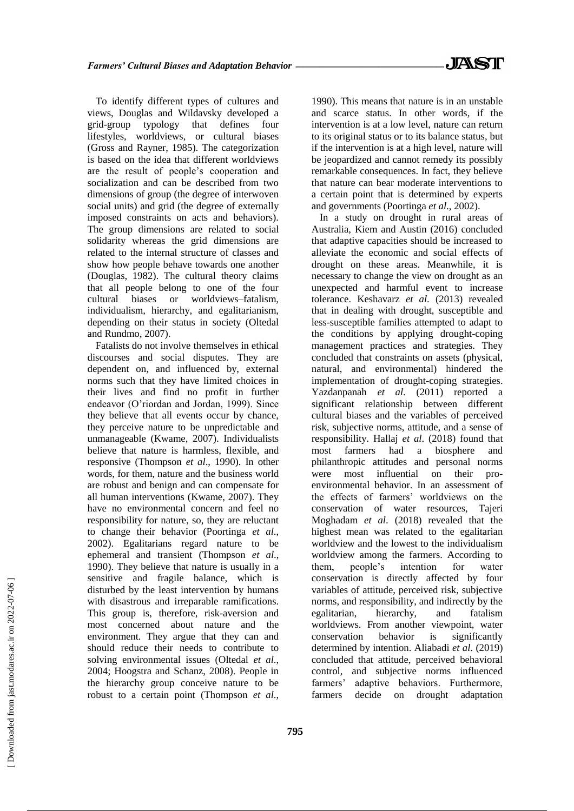To identify different types of cultures and views, Douglas and Wildavsky developed a grid-group typology that defines four lifestyles, worldviews, or cultural biases (Gross and Rayner, 1985). The categorization is based on the idea that different worldviews are the result of people's cooperation and socialization and can be described from two dimensions of group (the degree of interwoven social units) and grid (the degree of externally imposed constraints on acts and behaviors). The group dimensions are related to social solidarity whereas the grid dimensions are related to the internal structure of classes and show how people behave towards one another (Douglas, 1982). The cultural theory claims that all people belong to one of the four cultural biases or worldviews–fatalism, individualism, hierarchy, and egalitarianism, depending on their status in society (Oltedal and Rundmo, 2007).

Fatalists do not involve themselves in ethical discourses and social disputes. They are dependent on, and influenced by, external norms such that they have limited choices in their lives and find no profit in further endeavor (O'riordan and Jordan, 1999). Since they believe that all events occur by chance, they perceive nature to be unpredictable and unmanageable (Kwame, 2007). Individualists believe that nature is harmless, flexible, and responsive (Thompson *et al*., 1990). In other words, for them, nature and the business world are robust and benign and can compensate for all human interventions (Kwame, 2007). They have no environmental concern and feel no responsibility for nature, so, they are reluctant to change their behavior (Poortinga *et al*., 2002). Egalitarians regard nature to be ephemeral and transient (Thompson *et al*., 1990). They believe that nature is usually in a sensitive and fragile balance, which is disturbed by the least intervention by humans with disastrous and irreparable ramifications. This group is, therefore, risk-aversion and most concerned about nature and the environment. They argue that they can and should reduce their needs to contribute to solving environmental issues (Oltedal *et al*., 2004; Hoogstra and Schanz, 2008). People in the hierarchy group conceive nature to be robust to a certain point (Thompson *et al*., 1990). This means that nature is in an unstable and scarce status. In other words, if the intervention is at a low level, nature can return to its original status or to its balance status, but if the intervention is at a high level, nature will be jeopardized and cannot remedy its possibly remarkable consequences. In fact, they believe that nature can bear moderate interventions to a certain point that is determined by experts and governments (Poortinga *et al*., 2002).

In a study on drought in rural areas of Australia, Kiem and Austin (2016) concluded that adaptive capacities should be increased to alleviate the economic and social effects of drought on these areas. Meanwhile, it is necessary to change the view on drought as an unexpected and harmful event to increase tolerance. Keshavarz *et al*. (2013) revealed that in dealing with drought, susceptible and less-susceptible families attempted to adapt to the conditions by applying drought-coping management practices and strategies. They concluded that constraints on assets (physical, natural, and environmental) hindered the implementation of drought-coping strategies. Yazdanpanah *et al*. (2011) reported a significant relationship between different cultural biases and the variables of perceived risk, subjective norms, attitude, and a sense of responsibility. Hallaj *et al*. (2018) found that most farmers had a biosphere and philanthropic attitudes and personal norms were most influential on their proenvironmental behavior. In an assessment of the effects of farmers' worldviews on the conservation of water resources, Tajeri Moghadam *et al*. (2018) revealed that the highest mean was related to the egalitarian worldview and the lowest to the individualism worldview among the farmers. According to them, people's intention for water conservation is directly affected by four variables of attitude, perceived risk, subjective norms, and responsibility, and indirectly by the egalitarian, hierarchy, and fatalism worldviews. From another viewpoint, water conservation behavior is significantly determined by intention. Aliabadi *et al*. (2019) concluded that attitude, perceived behavioral control, and subjective norms influenced farmers' adaptive behaviors. Furthermore, farmers decide on drought adaptation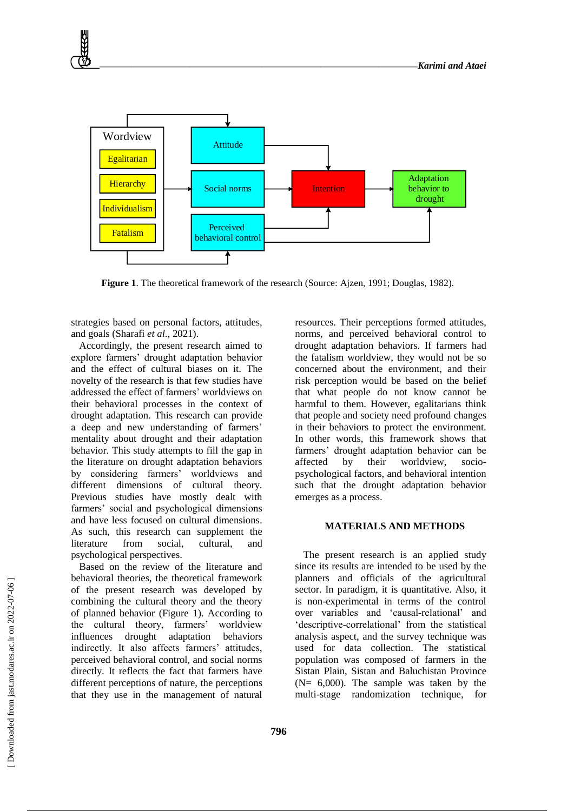

**Figure 1**. The theoretical framework of the research (Source: Ajzen, 1991; Douglas, 1982).

strategies based on personal factors, attitudes, and goals (Sharafi *et al*., 2021).

Accordingly, the present research aimed to explore farmers' drought adaptation behavior and the effect of cultural biases on it. The novelty of the research is that few studies have addressed the effect of farmers' worldviews on their behavioral processes in the context of drought adaptation. This research can provide a deep and new understanding of farmers' mentality about drought and their adaptation behavior. This study attempts to fill the gap in the literature on drought adaptation behaviors by considering farmers' worldviews and different dimensions of cultural theory. Previous studies have mostly dealt with farmers' social and psychological dimensions and have less focused on cultural dimensions. As such, this research can supplement the literature from social, cultural, and psychological perspectives.

Based on the review of the literature and behavioral theories, the theoretical framework of the present research was developed by combining the cultural theory and the theory of planned behavior (Figure 1). According to the cultural theory, farmers' worldview influences drought adaptation behaviors indirectly. It also affects farmers' attitudes, perceived behavioral control, and social norms directly. It reflects the fact that farmers have different perceptions of nature, the perceptions that they use in the management of natural resources. Their perceptions formed attitudes, norms, and perceived behavioral control to drought adaptation behaviors. If farmers had the fatalism worldview, they would not be so concerned about the environment, and their risk perception would be based on the belief that what people do not know cannot be harmful to them. However, egalitarians think that people and society need profound changes in their behaviors to protect the environment. In other words, this framework shows that farmers' drought adaptation behavior can be affected by their worldview, sociopsychological factors, and behavioral intention such that the drought adaptation behavior emerges as a process.

## **MATERIALS AND METHODS**

The present research is an applied study since its results are intended to be used by the planners and officials of the agricultural sector. In paradigm, it is quantitative. Also, it is non-experimental in terms of the control over variables and 'causal-relational' and 'descriptive-correlational' from the statistical analysis aspect, and the survey technique was used for data collection. The statistical population was composed of farmers in the Sistan Plain, Sistan and Baluchistan Province ( $N = 6,000$ ). The sample was taken by the multi-stage randomization technique, for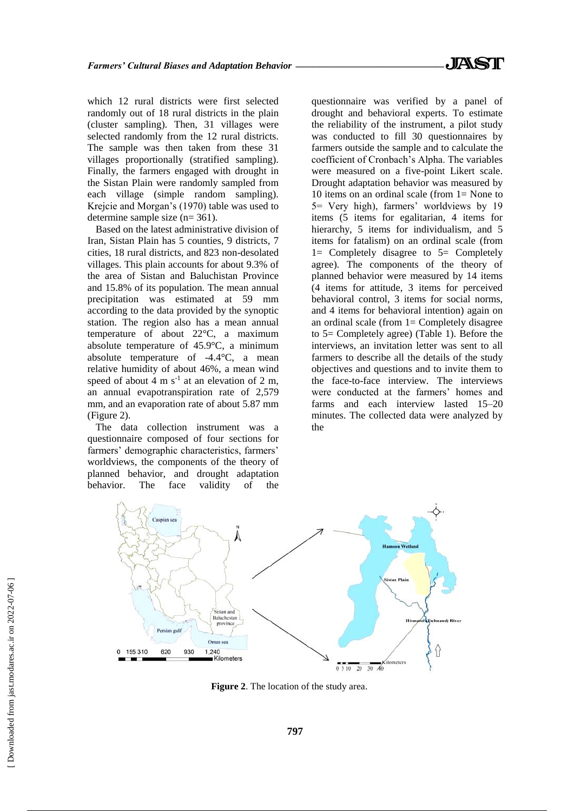which 12 rural districts were first selected randomly out of 18 rural districts in the plain (cluster sampling). Then, 31 villages were selected randomly from the 12 rural districts. The sample was then taken from these 31 villages proportionally (stratified sampling). Finally, the farmers engaged with drought in the Sistan Plain were randomly sampled from each village (simple random sampling). Krejcie and Morgan's (1970) table was used to determine sample size (n= 361).

Based on the latest administrative division of Iran, Sistan Plain has 5 counties, 9 districts, 7 cities, 18 rural districts, and 823 non-desolated villages. This plain accounts for about 9.3% of the area of Sistan and Baluchistan Province and 15.8% of its population. The mean annual precipitation was estimated at 59 mm according to the data provided by the synoptic station. The region also has a mean annual temperature of about 22°C, a maximum absolute temperature of 45.9°C, a minimum absolute temperature of -4.4°C, a mean relative humidity of about 46%, a mean wind speed of about 4 m  $s^{-1}$  at an elevation of 2 m, an annual evapotranspiration rate of 2,579 mm, and an evaporation rate of about 5.87 mm (Figure 2).

The data collection instrument was a questionnaire composed of four sections for farmers' demographic characteristics, farmers' worldviews, the components of the theory of planned behavior, and drought adaptation behavior. The face validity of the questionnaire was verified by a panel of drought and behavioral experts. To estimate the reliability of the instrument, a pilot study was conducted to fill 30 questionnaires by farmers outside the sample and to calculate the coefficient of Cronbach's Alpha. The variables were measured on a five-point Likert scale. Drought adaptation behavior was measured by 10 items on an ordinal scale (from 1= None to 5= Very high), farmers' worldviews by 19 items (5 items for egalitarian, 4 items for hierarchy, 5 items for individualism, and 5 items for fatalism) on an ordinal scale (from 1= Completely disagree to 5= Completely agree). The components of the theory of planned behavior were measured by 14 items (4 items for attitude, 3 items for perceived behavioral control, 3 items for social norms, and 4 items for behavioral intention) again on an ordinal scale (from  $1=$  Completely disagree to 5= Completely agree) (Table 1). Before the interviews, an invitation letter was sent to all farmers to describe all the details of the study objectives and questions and to invite them to the face-to-face interview. The interviews were conducted at the farmers' homes and farms and each interview lasted 15–20 minutes. The collected data were analyzed by the



**Figure 2**. The location of the study area.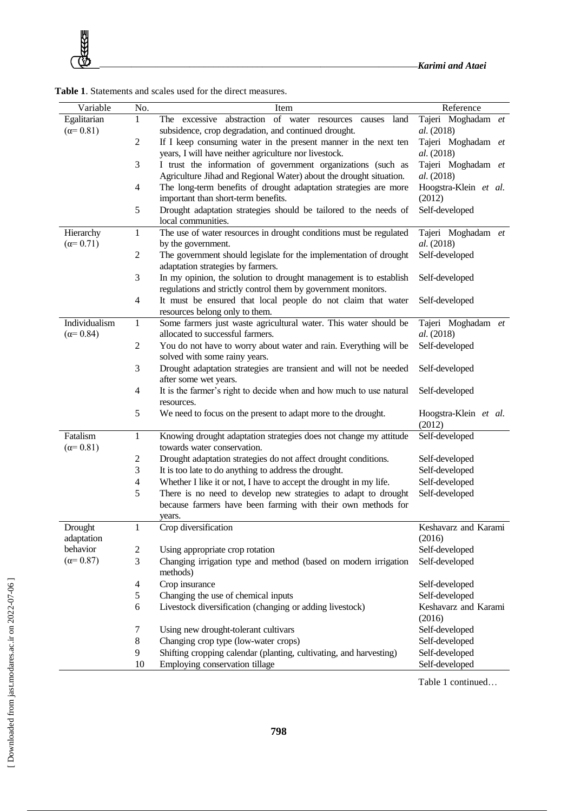|  |  |  | <b>Table 1.</b> Statements and scales used for the direct measures. |
|--|--|--|---------------------------------------------------------------------|
|--|--|--|---------------------------------------------------------------------|

| Variable              | No.            | Item                                                                                                    | Reference                       |
|-----------------------|----------------|---------------------------------------------------------------------------------------------------------|---------------------------------|
| Egalitarian           | 1              | abstraction of water resources<br>The excessive<br>land<br>causes                                       | Tajeri Moghadam et              |
| $(\alpha = 0.81)$     |                | subsidence, crop degradation, and continued drought.                                                    | al. (2018)                      |
|                       | 2              | If I keep consuming water in the present manner in the next ten                                         | Tajeri Moghadam et              |
|                       |                | years, I will have neither agriculture nor livestock.                                                   | al. (2018)                      |
|                       | 3              | I trust the information of government organizations (such as                                            | Tajeri Moghadam et              |
|                       |                | Agriculture Jihad and Regional Water) about the drought situation.                                      | al. (2018)                      |
|                       | 4              | The long-term benefits of drought adaptation strategies are more<br>important than short-term benefits. | Hoogstra-Klein et al.<br>(2012) |
|                       | 5              | Drought adaptation strategies should be tailored to the needs of                                        | Self-developed                  |
|                       |                | local communities.                                                                                      |                                 |
| Hierarchy             | $\mathbf{1}$   | The use of water resources in drought conditions must be regulated                                      | Tajeri Moghadam et              |
| $(\alpha = 0.71)$     |                | by the government.                                                                                      | al. (2018)                      |
|                       | 2              | The government should legislate for the implementation of drought                                       | Self-developed                  |
|                       |                | adaptation strategies by farmers.                                                                       |                                 |
|                       | 3              | In my opinion, the solution to drought management is to establish                                       | Self-developed                  |
|                       |                | regulations and strictly control them by government monitors.                                           |                                 |
|                       | 4              | It must be ensured that local people do not claim that water<br>resources belong only to them.          | Self-developed                  |
| Individualism         | 1              | Some farmers just waste agricultural water. This water should be                                        | Tajeri Moghadam et              |
| $(\alpha = 0.84)$     |                | allocated to successful farmers.                                                                        | al. (2018)                      |
|                       | $\mathfrak{2}$ | You do not have to worry about water and rain. Everything will be                                       | Self-developed                  |
|                       |                | solved with some rainy years.                                                                           |                                 |
|                       | 3              | Drought adaptation strategies are transient and will not be needed                                      | Self-developed                  |
|                       |                | after some wet years.                                                                                   |                                 |
|                       | 4              | It is the farmer's right to decide when and how much to use natural<br>resources.                       | Self-developed                  |
|                       | 5              | We need to focus on the present to adapt more to the drought.                                           | Hoogstra-Klein et al.           |
|                       |                |                                                                                                         | (2012)                          |
| Fatalism              | 1              | Knowing drought adaptation strategies does not change my attitude                                       | Self-developed                  |
| $(\alpha = 0.81)$     |                | towards water conservation.                                                                             |                                 |
|                       | 2              | Drought adaptation strategies do not affect drought conditions.                                         | Self-developed                  |
|                       | 3              | It is too late to do anything to address the drought.                                                   | Self-developed                  |
|                       | 4              | Whether I like it or not, I have to accept the drought in my life.                                      | Self-developed                  |
|                       | 5              | There is no need to develop new strategies to adapt to drought                                          | Self-developed                  |
|                       |                | because farmers have been farming with their own methods for                                            |                                 |
|                       |                | years.                                                                                                  | Keshavarz and Karami            |
| Drought<br>adaptation | 1              | Crop diversification                                                                                    | (2016)                          |
| behavior              | $\overline{c}$ | Using appropriate crop rotation                                                                         | Self-developed                  |
| $(\alpha = 0.87)$     | 3              | Changing irrigation type and method (based on modern irrigation                                         | Self-developed                  |
|                       |                | methods)                                                                                                |                                 |
|                       | 4              | Crop insurance                                                                                          | Self-developed                  |
|                       | 5              | Changing the use of chemical inputs                                                                     | Self-developed                  |
|                       | 6              | Livestock diversification (changing or adding livestock)                                                | Keshavarz and Karami            |
|                       |                |                                                                                                         | (2016)                          |
|                       | 7              | Using new drought-tolerant cultivars                                                                    | Self-developed                  |
|                       | 8              | Changing crop type (low-water crops)                                                                    | Self-developed                  |
|                       | 9              | Shifting cropping calendar (planting, cultivating, and harvesting)                                      | Self-developed                  |
|                       | 10             | Employing conservation tillage                                                                          | Self-developed                  |

Table 1 continued…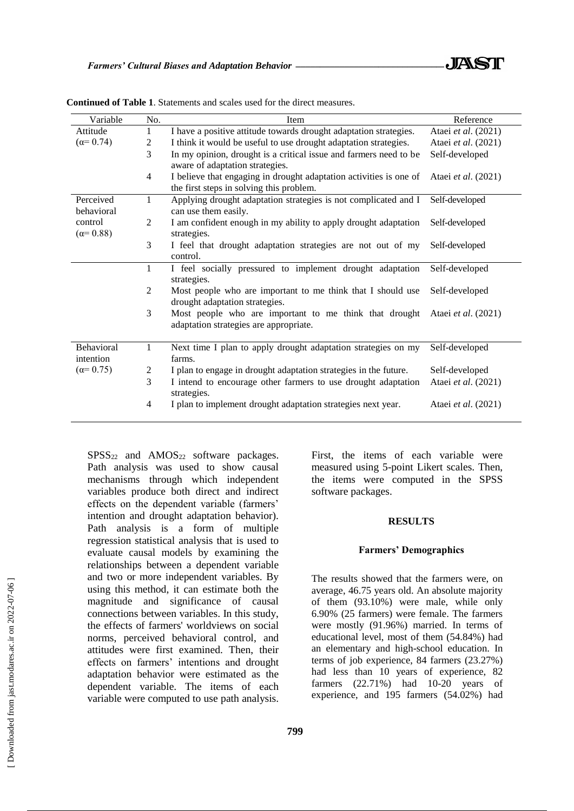| Variable                     | No.            | Item                                                                                                           | Reference                  |
|------------------------------|----------------|----------------------------------------------------------------------------------------------------------------|----------------------------|
| Attitude                     |                | I have a positive attitude towards drought adaptation strategies.                                              | Ataei et al. (2021)        |
| $(\alpha = 0.74)$            | 2              | I think it would be useful to use drought adaptation strategies.                                               | Ataei et al. (2021)        |
|                              | 3              | In my opinion, drought is a critical issue and farmers need to be<br>aware of adaptation strategies.           | Self-developed             |
|                              | $\overline{4}$ | I believe that engaging in drought adaptation activities is one of<br>the first steps in solving this problem. | Ataei <i>et al.</i> (2021) |
| Perceived<br>behavioral      | 1              | Applying drought adaptation strategies is not complicated and I<br>can use them easily.                        | Self-developed             |
| control<br>$(\alpha = 0.88)$ | 2              | I am confident enough in my ability to apply drought adaptation<br>strategies.                                 | Self-developed             |
|                              | 3              | I feel that drought adaptation strategies are not out of my<br>control.                                        | Self-developed             |
|                              | 1              | I feel socially pressured to implement drought adaptation<br>strategies.                                       | Self-developed             |
|                              | 2              | Most people who are important to me think that I should use<br>drought adaptation strategies.                  | Self-developed             |
|                              | 3              | Most people who are important to me think that drought<br>adaptation strategies are appropriate.               | Ataei <i>et al.</i> (2021) |
| Behavioral<br>intention      | $\mathbf{1}$   | Next time I plan to apply drought adaptation strategies on my<br>farms.                                        | Self-developed             |
| $(\alpha = 0.75)$            | 2              | I plan to engage in drought adaptation strategies in the future.                                               | Self-developed             |
|                              | 3              | I intend to encourage other farmers to use drought adaptation<br>strategies.                                   | Ataei et al. (2021)        |
|                              | 4              | I plan to implement drought adaptation strategies next year.                                                   | Ataei et al. (2021)        |

**Continued of Table 1**. Statements and scales used for the direct measures.

 $SPSS<sub>22</sub>$  and  $AMOS<sub>22</sub>$  software packages. Path analysis was used to show causal mechanisms through which independent variables produce both direct and indirect effects on the dependent variable (farmers' intention and drought adaptation behavior). Path analysis is a form of multiple regression statistical analysis that is used to evaluate causal models by examining the relationships between a dependent variable and two or more independent variables. By using this method, it can estimate both the magnitude and significance of causal connections between variables. In this study, the effects of farmers' worldviews on social norms, perceived behavioral control, and attitudes were first examined. Then, their effects on farmers' intentions and drought adaptation behavior were estimated as the dependent variable. The items of each variable were computed to use path analysis. First, the items of each variable were measured using 5-point Likert scales. Then, the items were computed in the SPSS software packages.

#### **RESULTS**

#### **Farmers' Demographics**

The results showed that the farmers were, on average, 46.75 years old. An absolute majority of them (93.10%) were male, while only 6.90% (25 farmers) were female. The farmers were mostly (91.96%) married. In terms of educational level, most of them (54.84%) had an elementary and high-school education. In terms of job experience, 84 farmers (23.27%) had less than 10 years of experience, 82 farmers (22.71%) had 10-20 years of experience, and 195 farmers (54.02%) had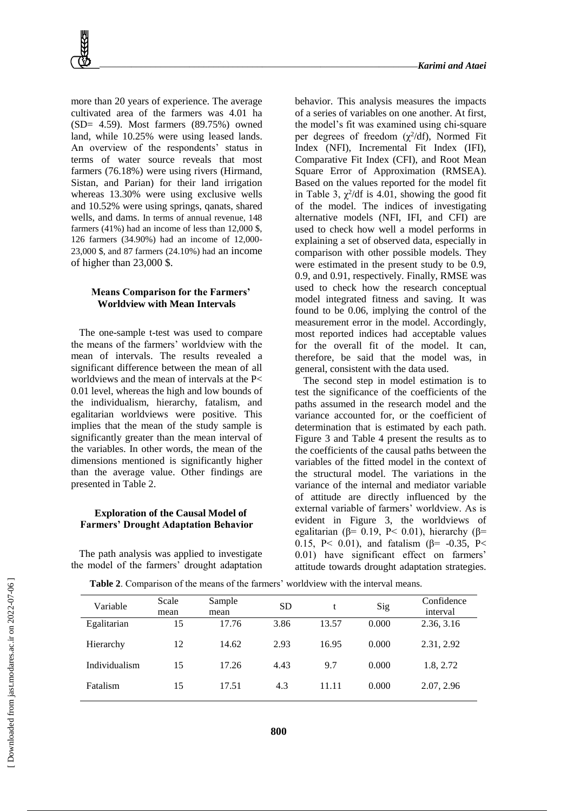more than 20 years of experience. The average cultivated area of the farmers was 4.01 ha (SD= 4.59). Most farmers (89.75%) owned land, while 10.25% were using leased lands. An overview of the respondents' status in terms of water source reveals that most farmers (76.18%) were using rivers (Hirmand, Sistan, and Parian) for their land irrigation whereas 13.30% were using exclusive wells and 10.52% were using springs, qanats, shared wells, and dams. In terms of annual revenue, 148 farmers (41%) had an income of less than 12,000 \$, 126 farmers (34.90%) had an income of 12,000- 23,000 \$, and 87 farmers (24.10%) had an income of higher than 23,000 \$.

## **Means Comparison for the Farmers' Worldview with Mean Intervals**

The one-sample t-test was used to compare the means of the farmers' worldview with the mean of intervals. The results revealed a significant difference between the mean of all worldviews and the mean of intervals at the P< 0.01 level, whereas the high and low bounds of the individualism, hierarchy, fatalism, and egalitarian worldviews were positive. This implies that the mean of the study sample is significantly greater than the mean interval of the variables. In other words, the mean of the dimensions mentioned is significantly higher than the average value. Other findings are presented in Table 2.

## **Exploration of the Causal Model of Farmers' Drought Adaptation Behavior**

The path analysis was applied to investigate the model of the farmers' drought adaptation behavior. This analysis measures the impacts of a series of variables on one another. At first, the model's fit was examined using chi-square per degrees of freedom  $(\chi^2/df)$ , Normed Fit Index (NFI), Incremental Fit Index (IFI), Comparative Fit Index (CFI), and Root Mean Square Error of Approximation (RMSEA). Based on the values reported for the model fit in Table 3,  $\chi^2$ /df is 4.01, showing the good fit of the model. The indices of investigating alternative models (NFI, IFI, and CFI) are used to check how well a model performs in explaining a set of observed data, especially in comparison with other possible models. They were estimated in the present study to be 0.9, 0.9, and 0.91, respectively. Finally, RMSE was used to check how the research conceptual model integrated fitness and saving. It was found to be 0.06, implying the control of the measurement error in the model. Accordingly, most reported indices had acceptable values for the overall fit of the model. It can, therefore, be said that the model was, in general, consistent with the data used.

The second step in model estimation is to test the significance of the coefficients of the paths assumed in the research model and the variance accounted for, or the coefficient of determination that is estimated by each path. Figure 3 and Table 4 present the results as to the coefficients of the causal paths between the variables of the fitted model in the context of the structural model. The variations in the variance of the internal and mediator variable of attitude are directly influenced by the external variable of farmers' worldview. As is evident in Figure 3, the worldviews of egalitarian (β= 0.19, P< 0.01), hierarchy (β= 0.15, P< 0.01), and fatalism ( $\beta$ = -0.35, P< 0.01) have significant effect on farmers' attitude towards drought adaptation strategies.

| Variable      | Scale<br>mean | Sample<br>mean | <b>SD</b> | t     | Sig   | Confidence<br>interval |
|---------------|---------------|----------------|-----------|-------|-------|------------------------|
| Egalitarian   | 15            | 17.76          | 3.86      | 13.57 | 0.000 | 2.36, 3.16             |
| Hierarchy     | 12            | 14.62          | 2.93      | 16.95 | 0.000 | 2.31, 2.92             |
| Individualism | 15            | 17.26          | 4.43      | 9.7   | 0.000 | 1.8, 2.72              |
| Fatalism      | 15            | 17.51          | 4.3       | 11.11 | 0.000 | 2.07, 2.96             |

**Table 2**. Comparison of the means of the farmers' worldview with the interval means.

 [\[ Downloaded from jast.modares.ac.ir on 2](https://jast.modares.ac.ir/article-23-55258-en.html)022-07-06 ] Downloaded from jast.modares.ac.ir on 2022-07-06]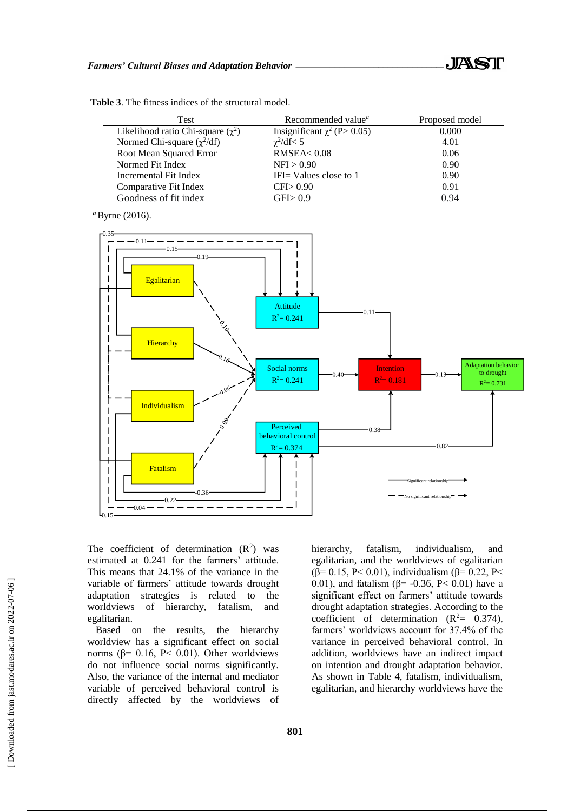| Test                                   | Recommended value <sup><i>a</i></sup> | Proposed model |
|----------------------------------------|---------------------------------------|----------------|
| Likelihood ratio Chi-square $(\chi^2)$ | Insignificant $\chi^2$ (P > 0.05)     | 0.000          |
| Normed Chi-square $(\chi^2/df)$        | $\chi^2/\text{df} < 5$                | 4.01           |
| Root Mean Squared Error                | RMSEA < 0.08                          | 0.06           |
| Normed Fit Index                       | NFI > 0.90                            | 0.90           |
| Incremental Fit Index                  | IFI $=$ Values close to 1             | 0.90           |
| Comparative Fit Index                  | CFI > 0.90                            | 0.91           |
| Goodness of fit index                  | GFI> 0.9                              | 0.94           |

**Table 3**. The fitness indices of the structural model.

*<sup>a</sup>*Byrne (2016).



The coefficient of determination  $(R^2)$  was hierarchy, fatalism, individual estimated at 0.241 for the farmers' attitude. This means that 24.1% of the variance in the variable of farmers' attitude towards drought adaptation strategies is related to the worldviews of hierarchy, fatalism, and egalitarian.

Based on the results, the hierarchy worldview has a significant effect on social norms ( $β = 0.16$ ,  $P < 0.01$ ). Other worldviews do not influence social norms significantly. Also, the variance of the internal and mediator variable of perceived behavioral control is directly affected by the worldviews of hierarchy, fatalism, individualism, and egalitarian, and the worldviews of egalitarian (β= 0.15, P< 0.01), individualism (β= 0.22, P< 0.01), and fatalism ( $β = -0.36$ , P< 0.01) have a significant effect on farmers' attitude towards drought adaptation strategies. According to the coefficient of determination  $(R^2= 0.374)$ , farmers' worldviews account for 37.4% of the variance in perceived behavioral control. In addition, worldviews have an indirect impact on intention and drought adaptation behavior. As shown in Table 4, fatalism, individualism, egalitarian, and hierarchy worldviews have the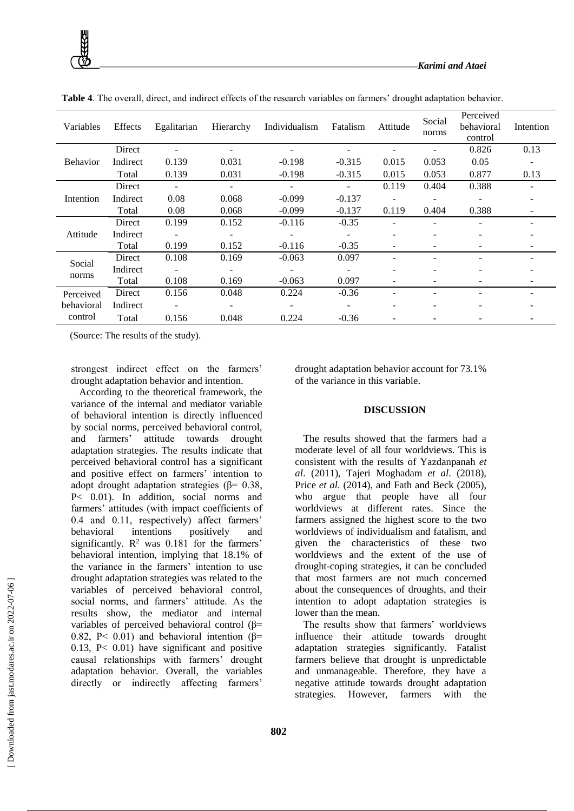

**Table 4**. The overall, direct, and indirect effects of the research variables on farmers' drought adaptation behavior.

(Source: The results of the study).

strongest indirect effect on the farmers' drought adaptation behavior and intention.

According to the theoretical framework, the variance of the internal and mediator variable of behavioral intention is directly influenced by social norms, perceived behavioral control, and farmers' attitude towards drought adaptation strategies. The results indicate that perceived behavioral control has a significant and positive effect on farmers' intention to adopt drought adaptation strategies ( $\beta$ = 0.38, P< 0.01). In addition, social norms and farmers' attitudes (with impact coefficients of 0.4 and 0.11, respectively) affect farmers' behavioral intentions positively and significantly.  $\mathbb{R}^2$  was 0.181 for the farmers' behavioral intention, implying that 18.1% of the variance in the farmers' intention to use drought adaptation strategies was related to the variables of perceived behavioral control, social norms, and farmers' attitude. As the results show, the mediator and internal variables of perceived behavioral control (β= 0.82, P< 0.01) and behavioral intention (β= 0.13, P< 0.01) have significant and positive causal relationships with farmers' drought adaptation behavior. Overall, the variables directly or indirectly affecting farmers'

drought adaptation behavior account for 73.1% of the variance in this variable.

## **DISCUSSION**

The results showed that the farmers had a moderate level of all four worldviews. This is consistent with the results of Yazdanpanah *et al*. (2011), Tajeri Moghadam *et al*. (2018), Price *et al*. (2014), and Fath and Beck (2005), who argue that people have all four worldviews at different rates. Since the farmers assigned the highest score to the two worldviews of individualism and fatalism, and given the characteristics of these two worldviews and the extent of the use of drought-coping strategies, it can be concluded that most farmers are not much concerned about the consequences of droughts, and their intention to adopt adaptation strategies is lower than the mean.

The results show that farmers' worldviews influence their attitude towards drought adaptation strategies significantly. Fatalist farmers believe that drought is unpredictable and unmanageable. Therefore, they have a negative attitude towards drought adaptation strategies. However, farmers with the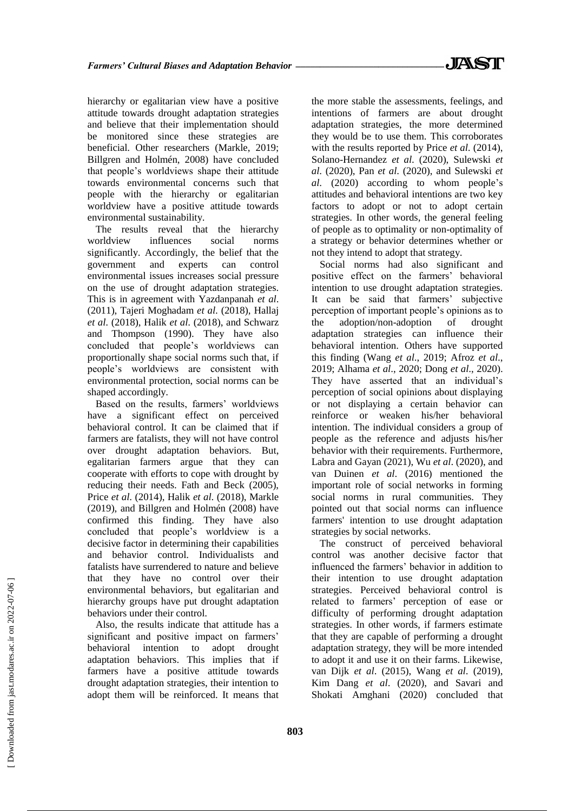hierarchy or egalitarian view have a positive attitude towards drought adaptation strategies and believe that their implementation should be monitored since these strategies are beneficial. Other researchers (Markle, 2019; Billgren and Holmén, 2008) have concluded that people's worldviews shape their attitude towards environmental concerns such that people with the hierarchy or egalitarian worldview have a positive attitude towards environmental sustainability.

The results reveal that the hierarchy worldview influences social norms significantly. Accordingly, the belief that the government and experts can control environmental issues increases social pressure on the use of drought adaptation strategies. This is in agreement with Yazdanpanah *et al*. (2011), Tajeri Moghadam *et al*. (2018), Hallaj *et al*. (2018), Halik *et al*. (2018), and Schwarz and Thompson (1990). They have also concluded that people's worldviews can proportionally shape social norms such that, if people's worldviews are consistent with environmental protection, social norms can be shaped accordingly.

Based on the results, farmers' worldviews have a significant effect on perceived behavioral control. It can be claimed that if farmers are fatalists, they will not have control over drought adaptation behaviors. But, egalitarian farmers argue that they can cooperate with efforts to cope with drought by reducing their needs. Fath and Beck (2005), Price *et al*. (2014), Halik *et al*. (2018), Markle (2019), and Billgren and Holmén (2008) have confirmed this finding. They have also concluded that people's worldview is a decisive factor in determining their capabilities and behavior control. Individualists and fatalists have surrendered to nature and believe that they have no control over their environmental behaviors, but egalitarian and hierarchy groups have put drought adaptation behaviors under their control.

Also, the results indicate that attitude has a significant and positive impact on farmers' behavioral intention to adopt drought adaptation behaviors. This implies that if farmers have a positive attitude towards drought adaptation strategies, their intention to adopt them will be reinforced. It means that

the more stable the assessments, feelings, and intentions of farmers are about drought adaptation strategies, the more determined they would be to use them. This corroborates with the results reported by Price *et al*. (2014), Solano-Hernandez *et al*. (2020), Sulewski *et al*. (2020), Pan *et al*. (2020), and Sulewski *et al*. (2020) according to whom people's attitudes and behavioral intentions are two key factors to adopt or not to adopt certain strategies. In other words, the general feeling of people as to optimality or non-optimality of a strategy or behavior determines whether or not they intend to adopt that strategy.

Social norms had also significant and positive effect on the farmers' behavioral intention to use drought adaptation strategies. It can be said that farmers' subjective perception of important people's opinions as to the adoption/non-adoption of drought adaptation strategies can influence their behavioral intention. Others have supported this finding (Wang *et al*., 2019; Afroz *et al*., 2019; Alhama *et al*., 2020; Dong *et al*., 2020). They have asserted that an individual's perception of social opinions about displaying or not displaying a certain behavior can reinforce or weaken his/her behavioral intention. The individual considers a group of people as the reference and adjusts his/her behavior with their requirements. Furthermore, Labra and Gayan (2021), Wu *et al*. (2020), and van Duinen *et al*. (2016) mentioned the important role of social networks in forming social norms in rural communities. They pointed out that social norms can influence farmers' intention to use drought adaptation strategies by social networks.

The construct of perceived behavioral control was another decisive factor that influenced the farmers' behavior in addition to their intention to use drought adaptation strategies. Perceived behavioral control is related to farmers' perception of ease or difficulty of performing drought adaptation strategies. In other words, if farmers estimate that they are capable of performing a drought adaptation strategy, they will be more intended to adopt it and use it on their farms. Likewise, van Dijk *et al*. (2015), Wang *et al*. (2019), Kim Dang *et al*. (2020), and Savari and Shokati Amghani (2020) concluded that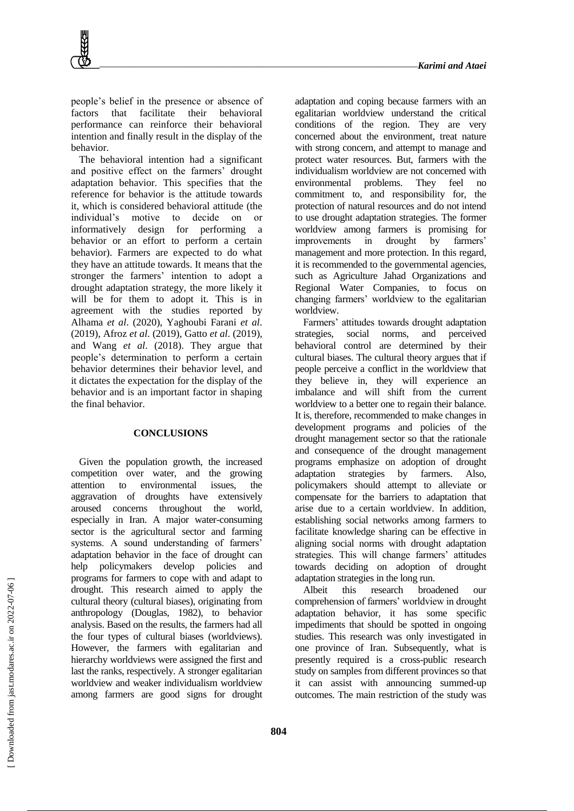people's belief in the presence or absence of factors that facilitate their behavioral performance can reinforce their behavioral intention and finally result in the display of the behavior.

The behavioral intention had a significant and positive effect on the farmers' drought adaptation behavior. This specifies that the reference for behavior is the attitude towards it, which is considered behavioral attitude (the individual's motive to decide on or informatively design for performing a behavior or an effort to perform a certain behavior). Farmers are expected to do what they have an attitude towards. It means that the stronger the farmers' intention to adopt a drought adaptation strategy, the more likely it will be for them to adopt it. This is in agreement with the studies reported by Alhama *et al*. (2020), Yaghoubi Farani *et al*. (2019), Afroz *et al*. (2019), Gatto *et al*. (2019), and Wang *et al*. (2018). They argue that people's determination to perform a certain behavior determines their behavior level, and it dictates the expectation for the display of the behavior and is an important factor in shaping the final behavior.

#### **CONCLUSIONS**

Given the population growth, the increased competition over water, and the growing attention to environmental issues, the aggravation of droughts have extensively aroused concerns throughout the world, especially in Iran. A major water-consuming sector is the agricultural sector and farming systems. A sound understanding of farmers' adaptation behavior in the face of drought can help policymakers develop policies and programs for farmers to cope with and adapt to drought. This research aimed to apply the cultural theory (cultural biases), originating from anthropology (Douglas, 1982), to behavior analysis. Based on the results, the farmers had all the four types of cultural biases (worldviews). However, the farmers with egalitarian and hierarchy worldviews were assigned the first and last the ranks, respectively. A stronger egalitarian worldview and weaker individualism worldview among farmers are good signs for drought adaptation and coping because farmers with an egalitarian worldview understand the critical conditions of the region. They are very concerned about the environment, treat nature with strong concern, and attempt to manage and protect water resources. But, farmers with the individualism worldview are not concerned with environmental problems. They feel no commitment to, and responsibility for, the protection of natural resources and do not intend to use drought adaptation strategies. The former worldview among farmers is promising for improvements in drought by farmers' management and more protection. In this regard, it is recommended to the governmental agencies, such as Agriculture Jahad Organizations and Regional Water Companies, to focus on changing farmers' worldview to the egalitarian worldview.

Farmers' attitudes towards drought adaptation strategies, social norms, and perceived behavioral control are determined by their cultural biases. The cultural theory argues that if people perceive a conflict in the worldview that they believe in, they will experience an imbalance and will shift from the current worldview to a better one to regain their balance. It is, therefore, recommended to make changes in development programs and policies of the drought management sector so that the rationale and consequence of the drought management programs emphasize on adoption of drought adaptation strategies by farmers. Also, policymakers should attempt to alleviate or compensate for the barriers to adaptation that arise due to a certain worldview. In addition, establishing social networks among farmers to facilitate knowledge sharing can be effective in aligning social norms with drought adaptation strategies. This will change farmers' attitudes towards deciding on adoption of drought adaptation strategies in the long run.

Albeit this research broadened our comprehension of farmers' worldview in drought adaptation behavior, it has some specific impediments that should be spotted in ongoing studies. This research was only investigated in one province of Iran. Subsequently, what is presently required is a cross-public research study on samples from different provinces so that it can assist with announcing summed-up outcomes. The main restriction of the study was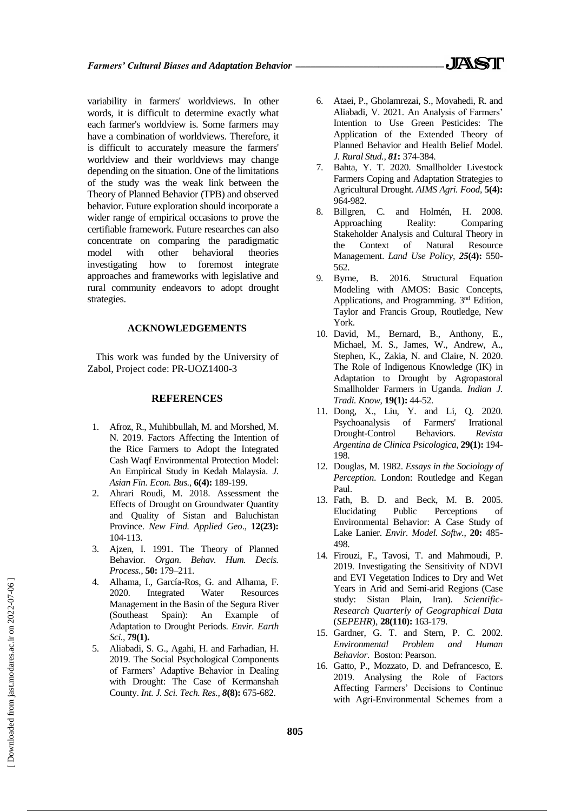variability in farmers' worldviews. In other

words, it is difficult to determine exactly what each farmer's worldview is. Some farmers may have a combination of worldviews. Therefore, it is difficult to accurately measure the farmers' worldview and their worldviews may change depending on the situation. One of the limitations of the study was the weak link between the Theory of Planned Behavior (TPB) and observed behavior. Future exploration should incorporate a wider range of empirical occasions to prove the certifiable framework. Future researches can also concentrate on comparing the paradigmatic model with other behavioral theories investigating how to foremost integrate approaches and frameworks with legislative and rural community endeavors to adopt drought strategies.

## **ACKNOWLEDGEMENTS**

This work was funded by the University of Zabol, Project code: PR-UOZ1400-3

#### **REFERENCES**

- 1. Afroz, R., Muhibbullah, M. and Morshed, M. N. 2019. Factors Affecting the Intention of the Rice Farmers to Adopt the Integrated Cash Waqf Environmental Protection Model: An Empirical Study in Kedah Malaysia. *J. Asian Fin. Econ. Bus.,* **6(4):** 189-199.
- 2. Ahrari Roudi, M. 2018. Assessment the Effects of Drought on Groundwater Quantity and Quality of Sistan and Baluchistan Province. *New Find. Applied Geo*., **12(23):**  104-113.
- 3. Ajzen, I. 1991. The Theory of Planned Behavior. *Organ. Behav. Hum. Decis. Process.,* **50:** 179–211.
- 4. Alhama, I., García-Ros, G. and Alhama, F. 2020. Integrated Water Resources Management in the Basin of the Segura River (Southeast Spain): An Example of Adaptation to Drought Periods. *Envir. Earth Sci.,* **79(1).**
- 5. Aliabadi, S. G., Agahi, H. and Farhadian, H. 2019. The Social Psychological Components of Farmers' Adaptive Behavior in Dealing with Drought: The Case of Kermanshah County. *Int. J. Sci. Tech. Res., 8***(8):** 675-682.
- 6. Ataei, P., Gholamrezai, S., Movahedi, R. and Aliabadi, V. 2021. An Analysis of Farmers' Intention to Use Green Pesticides: The Application of the Extended Theory of Planned Behavior and Health Belief Model. *J. Rural Stud., 81***:** 374-384.
- 7. Bahta, Y. T. 2020. Smallholder Livestock Farmers Coping and Adaptation Strategies to Agricultural Drought. *AIMS Agri. Food*, **5(4):**  964-982.
- 8. Billgren, C. and Holmén, H. 2008. Approaching Reality: Comparing Stakeholder Analysis and Cultural Theory in the Context of Natural Resource Management. *Land Use Policy, 25***(4):** 550- 562.
- 9. Byrne, B. 2016. Structural Equation Modeling with AMOS: Basic Concepts, Applications, and Programming. 3nd Edition, Taylor and Francis Group, Routledge, New York.
- 10. David, M., Bernard, B., Anthony, E., Michael, M. S., James, W., Andrew, A., Stephen, K., Zakia, N. and Claire, N. 2020. The Role of Indigenous Knowledge (IK) in Adaptation to Drought by Agropastoral Smallholder Farmers in Uganda. *Indian J. Tradi. Know*, **19(1):** 44-52.
- 11. Dong, X., Liu, Y. and Li, Q. 2020. Psychoanalysis of Farmers' Irrational Drought-Control Behaviors. *Revista Argentina de Clinica Psicologica,* **29(1):** 194- 198.
- 12. Douglas, M. 1982. *Essays in the Sociology of Perception*. London: Routledge and Kegan Paul.
- 13. Fath, B. D. and Beck, M. B. 2005. Elucidating Public Perceptions of Environmental Behavior: A Case Study of Lake Lanier. *Envir. Model. Softw.*, **20:** 485- 498.
- 14. Firouzi, F., Tavosi, T. and Mahmoudi, P. 2019. Investigating the Sensitivity of NDVI and EVI Vegetation Indices to Dry and Wet Years in Arid and Semi-arid Regions (Case study: Sistan Plain, Iran). *Scientific*-*Research Quarterly of Geographical Data* (*SEPEHR*), **28(110):** 163-179.
- 15. Gardner, G. T. and Stern, P. C. 2002. *Environmental Problem and Human Behavior*. Boston: Pearson.
- 16. Gatto, P., Mozzato, D. and Defrancesco, E. 2019. Analysing the Role of Factors Affecting Farmers' Decisions to Continue with Agri-Environmental Schemes from a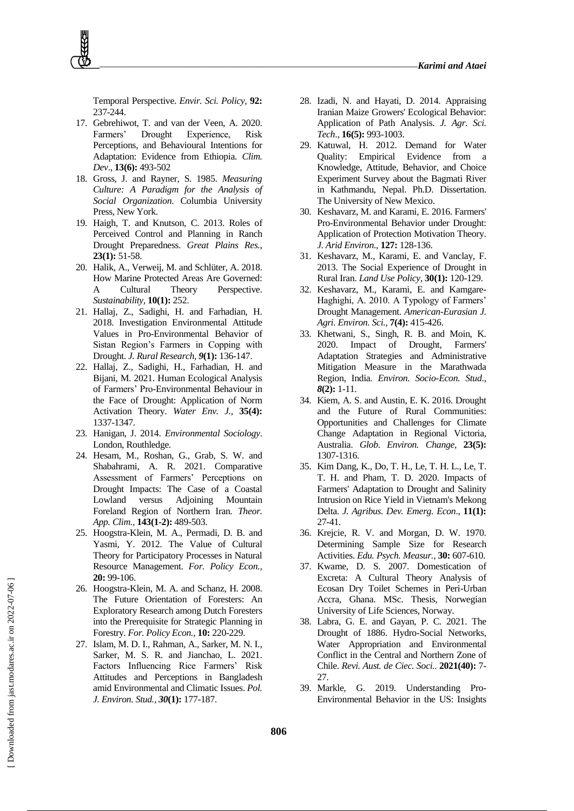Temporal Perspective. *Envir. Sci. Policy,* **92:** 237-244.

- 17. Gebrehiwot, T. and van der Veen, A. 2020. Farmers' Drought Experience, Risk Perceptions, and Behavioural Intentions for Adaptation: Evidence from Ethiopia. *Clim. Dev*., **13(6):** 493-502
- 18. Gross, J. and Rayner, S. 1985. *Measuring Culture: A Paradigm for the Analysis of Social Organization*. Columbia University Press, New York.
- 19. Haigh, T. and Knutson, C. 2013. Roles of Perceived Control and Planning in Ranch Drought Preparedness. *Great Plains Res.*, **23(1):** 51-58.
- 20. Halik, A., Verweij, M. and Schlüter, A. 2018. How Marine Protected Areas Are Governed: A Cultural Theory Perspective. *Sustainability,* **10(1):** 252.
- 21. Hallaj, Z., Sadighi, H. and Farhadian, H. 2018. Investigation Environmental Attitude Values in Pro-Environmental Behavior of Sistan Region's Farmers in Copping with Drought. *J. Rural Research, 9***(1):** 136-147.
- 22. Hallaj, Z., Sadighi, H., Farhadian, H. and Bijani, M. 2021. Human Ecological Analysis of Farmers' Pro-Environmental Behaviour in the Face of Drought: Application of Norm Activation Theory. *Water Env. J.*, **35(4):** 1337-1347.
- 23. Hanigan, J. 2014. *Environmental Sociology*. London, Routhledge.
- 24. Hesam, M., Roshan, G., Grab, S. W. and Shabahrami, A. R. 2021. Comparative Assessment of Farmers' Perceptions on Drought Impacts: The Case of a Coastal Lowland versus Adjoining Mountain Foreland Region of Northern Iran. *Theor. App. Clim.,* **143(1-2):** 489-503.
- 25. Hoogstra-Klein, M. A., Permadi, D. B. and Yasmi, Y. 2012. The Value of Cultural Theory for Participatory Processes in Natural Resource Management. *For. Policy Econ.,*  **20:** 99-106.
- 26. Hoogstra-Klein, M. A. and Schanz, H. 2008. The Future Orientation of Foresters: An Exploratory Research among Dutch Foresters into the Prerequisite for Strategic Planning in Forestry. *For. Policy Econ.,* **10:** 220-229.
- 27. Islam, M. D. I., Rahman, A., Sarker, M. N. I., Sarker, M. S. R. and Jianchao, L. 2021. Factors Influencing Rice Farmers' Risk Attitudes and Perceptions in Bangladesh amid Environmental and Climatic Issues. *Pol. J. Environ. Stud., 30***(1):** 177-187.
- 28. Izadi, N. and Hayati, D. 2014. Appraising Iranian Maize Growers' Ecological Behavior: Application of Path Analysis. *J. Agr. Sci. Tech*., **16(5):** 993-1003.
- 29. Katuwal, H. 2012. Demand for Water Quality: Empirical Evidence from a Knowledge, Attitude, Behavior, and Choice Experiment Survey about the Bagmati River in Kathmandu, Nepal. Ph.D. Dissertation. The University of New Mexico.
- 30. Keshavarz, M. and Karami, E. 2016. Farmers' Pro-Environmental Behavior under Drought: Application of Protection Motivation Theory. *J. Arid Environ*., **127:** 128-136.
- 31. Keshavarz, M., Karami, E. and Vanclay, F. 2013. The Social Experience of Drought in Rural Iran. *Land Use Policy*, **30(1):** 120-129.
- 32. Keshavarz, M., Karami, E. and Kamgare-Haghighi, A. 2010. A Typology of Farmers' Drought Management. *American-Eurasian J. Agri. Environ. Sci.*, **7(4):** 415-426.
- 33. Khetwani, S., Singh, R. B. and Moin, K. 2020. Impact of Drought, Farmers' Adaptation Strategies and Administrative Mitigation Measure in the Marathwada Region, India. *Environ. Socio-Econ. Stud., 8***(2):** 1-11.
- 34. Kiem, A. S. and Austin, E. K. 2016. Drought and the Future of Rural Communities: Opportunities and Challenges for Climate Change Adaptation in Regional Victoria, Australia. *Glob. Environ. Change*, **23(5):** 1307-1316.
- 35. Kim Dang, K., Do, T. H., Le, T. H. L., Le, T. T. H. and Pham, T. D. 2020. Impacts of Farmers' Adaptation to Drought and Salinity Intrusion on Rice Yield in Vietnam's Mekong Delta. *J. Agribus. Dev. Emerg. Econ*., **11(1):**  27-41.
- 36. Krejcie, R. V. and Morgan, D. W. 1970. Determining Sample Size for Research Activities. *Edu. Psych. Measur.,* **30:** 607-610.
- 37. Kwame, D. S. 2007. Domestication of Excreta: A Cultural Theory Analysis of Ecosan Dry Toilet Schemes in Peri-Urban Accra, Ghana. MSc. Thesis, Norwegian University of Life Sciences, Norway.
- 38. Labra, G. E. and Gayan, P. C. 2021. The Drought of 1886. Hydro-Social Networks, Water Appropriation and Environmental Conflict in the Central and Northern Zone of Chile. *Revi. Aust. de Ciec. Soci..* **2021(40):** 7- 27.
- 39. Markle, G. 2019. Understanding Pro-Environmental Behavior in the US: Insights

 [\[ Downloaded from jast.modares.ac.ir on 2](https://jast.modares.ac.ir/article-23-55258-en.html)022-07-06 ] Downloaded from jast.modares.ac.ir on 2022-07-06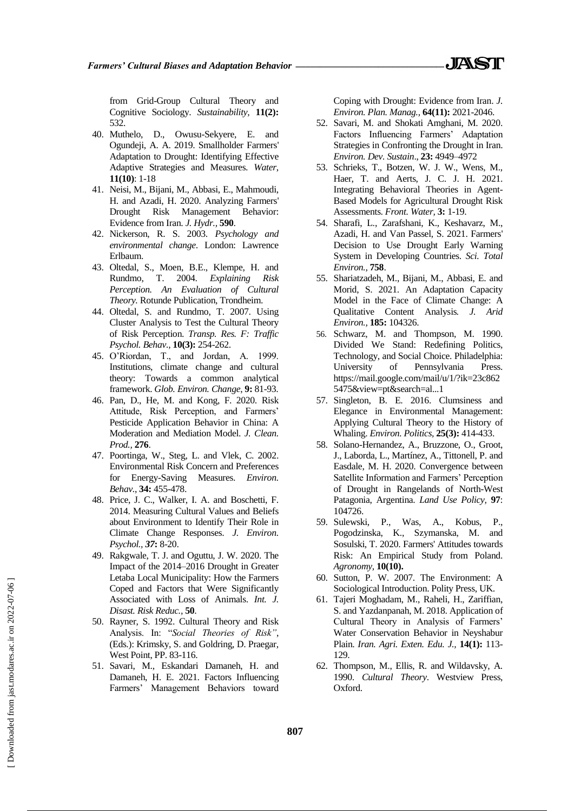from Grid-Group Cultural Theory and Cognitive Sociology. *Sustainability,* **11(2):** 532.

- 40. Muthelo, D., Owusu-Sekyere, E. and Ogundeji, A. A. 2019. Smallholder Farmers' Adaptation to Drought: Identifying Effective Adaptive Strategies and Measures. *Water*, **11(10)**: 1-18
- 41. Neisi, M., Bijani, M., Abbasi, E., Mahmoudi, H. and Azadi, H. 2020. Analyzing Farmers' Drought Risk Management Behavior: Evidence from Iran. *J. Hydr.,* **590**.
- 42. Nickerson, R. S. 2003. *Psychology and environmental change*. London: Lawrence Erlbaum.
- 43. Oltedal, S., Moen, B.E., Klempe, H. and Rundmo, T. 2004. *Explaining Risk Perception. An Evaluation of Cultural Theory.* Rotunde Publication, Trondheim.
- 44. Oltedal, S. and Rundmo, T. 2007. Using Cluster Analysis to Test the Cultural Theory of Risk Perception. *Transp. Res. F: Traffic Psychol. Behav.,* **10(3):** 254-262.
- 45. O'Riordan, T., and Jordan, A. 1999. Institutions, climate change and cultural theory: Towards a common analytical framework. *Glob. Environ. Change*, **9:** 81-93.
- 46. Pan, D., He, M. and Kong, F. 2020. Risk Attitude, Risk Perception, and Farmers' Pesticide Application Behavior in China: A Moderation and Mediation Model. *J. Clean. Prod.,* **276**.
- 47. Poortinga, W., Steg, L. and Vlek, C. 2002. Environmental Risk Concern and Preferences for Energy-Saving Measures. *Environ. Behav.*, **34:** 455-478.
- 48. Price, J. C., Walker, I. A. and Boschetti, F. 2014. Measuring Cultural Values and Beliefs about Environment to Identify Their Role in Climate Change Responses. *J. Environ. Psychol., 37***:** 8-20.
- 49. Rakgwale, T. J. and Oguttu, J. W. 2020. The Impact of the 2014–2016 Drought in Greater Letaba Local Municipality: How the Farmers Coped and Factors that Were Significantly Associated with Loss of Animals. *Int. J. Disast. Risk Reduc.,* **50**.
- 50. Rayner, S. 1992. Cultural Theory and Risk Analysis. In: "*Social Theories of Risk"*, (Eds.): Krimsky, S. and Goldring, D. Praegar, West Point, PP. 83-116.
- 51. Savari, M., Eskandari Damaneh, H. and Damaneh, H. E. 2021. Factors Influencing Farmers' Management Behaviors toward

Coping with Drought: Evidence from Iran. *J. Environ. Plan. Manag.,* **64(11):** 2021-2046.

- 52. Savari, M. and Shokati Amghani, M. 2020. Factors Influencing Farmers' Adaptation Strategies in Confronting the Drought in Iran. *Environ. Dev. Sustain*., **23:** 4949–4972
- 53. Schrieks, T., Botzen, W. J. W., Wens, M., Haer, T. and Aerts, J. C. J. H. 2021. Integrating Behavioral Theories in Agent-Based Models for Agricultural Drought Risk Assessments. *Front. Water,* **3:** 1-19.
- 54. Sharafi, L., Zarafshani, K., Keshavarz, M., Azadi, H. and Van Passel, S. 2021. Farmers' Decision to Use Drought Early Warning System in Developing Countries. *Sci. Total Environ.,* **758**.
- 55. Shariatzadeh, M., Bijani, M., Abbasi, E. and Morid, S. 2021. An Adaptation Capacity Model in the Face of Climate Change: A Qualitative Content Analysis*. J. Arid Environ.,* **185:** 104326.
- 56. Schwarz, M. and Thompson, M. 1990. Divided We Stand: Redefining Politics, Technology, and Social Choice. Philadelphia: University of Pennsylvania Press. https://mail.google.com/mail/u/1/?ik=23c862 5475&view=pt&search=al...1
- 57. Singleton, B. E. 2016. Clumsiness and Elegance in Environmental Management: Applying Cultural Theory to the History of Whaling. *Environ. Politics,* **25(3):** 414-433.
- 58. Solano-Hernandez, A., Bruzzone, O., Groot, J., Laborda, L., Martínez, A., Tittonell, P. and Easdale, M. H. 2020. Convergence between Satellite Information and Farmers' Perception of Drought in Rangelands of North-West Patagonia, Argentina. *Land Use Policy,* **97**: 104726.
- 59. Sulewski, P., Was, A., Kobus, P., Pogodzinska, K., Szymanska, M. and Sosulski, T. 2020. Farmers' Attitudes towards Risk: An Empirical Study from Poland. *Agronomy,* **10(10).**
- 60. Sutton, P. W. 2007. The Environment: A Sociological Introduction. Polity Press, UK.
- 61. Tajeri Moghadam, M., Raheli, H., Zariffian, S. and Yazdanpanah, M. 2018. Application of Cultural Theory in Analysis of Farmers' Water Conservation Behavior in Neyshabur Plain. *Iran. Agri. Exten. Edu. J.,* **14(1):** 113- 129.
- 62. Thompson, M., Ellis, R. and Wildavsky, A. 1990. *Cultural Theory*. Westview Press, Oxford.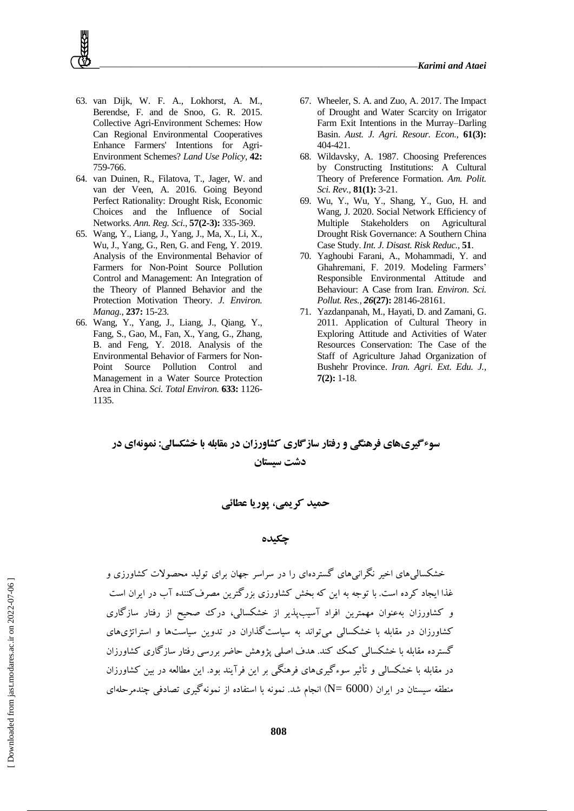

- 63. van Dijk, W. F. A., Lokhorst, A. M., Berendse, F. and de Snoo, G. R. 2015. Collective Agri-Environment Schemes: How Can Regional Environmental Cooperatives Enhance Farmers' Intentions for Agri-Environment Schemes? *Land Use Policy,* **42:** 759-766.
- 64. van Duinen, R., Filatova, T., Jager, W. and van der Veen, A. 2016. Going Beyond Perfect Rationality: Drought Risk, Economic Choices and the Influence of Social Networks. *Ann. Reg. Sci.,* **57(2-3):** 335-369.
- 65. Wang, Y., Liang, J., Yang, J., Ma, X., Li, X., Wu, J., Yang, G., Ren, G. and Feng, Y. 2019. Analysis of the Environmental Behavior of Farmers for Non-Point Source Pollution Control and Management: An Integration of the Theory of Planned Behavior and the Protection Motivation Theory. *J. Environ. Manag.,* **237:** 15-23.
- 66. Wang, Y., Yang, J., Liang, J., Qiang, Y., Fang, S., Gao, M., Fan, X., Yang, G., Zhang, B. and Feng, Y. 2018. Analysis of the Environmental Behavior of Farmers for Non-Point Source Pollution Control and Management in a Water Source Protection Area in China. *Sci. Total Environ.* **633:** 1126- 1135.
- 67. Wheeler, S. A. and Zuo, A. 2017. The Impact of Drought and Water Scarcity on Irrigator Farm Exit Intentions in the Murray–Darling Basin. *Aust. J. Agri. Resour. Econ.,* **61(3):** 404-421.
- 68. Wildavsky, A. 1987. Choosing Preferences by Constructing Institutions: A Cultural Theory of Preference Formation. *Am. Polit. Sci. Rev.,* **81(1):** 3-21.
- 69. Wu, Y., Wu, Y., Shang, Y., Guo, H. and Wang, J. 2020. Social Network Efficiency of Multiple Stakeholders on Agricultural Drought Risk Governance: A Southern China Case Study. *Int. J. Disast. Risk Reduc.,* **51**.
- 70. Yaghoubi Farani, A., Mohammadi, Y. and Ghahremani, F. 2019. Modeling Farmers' Responsible Environmental Attitude and Behaviour: A Case from Iran. *Environ. Sci. Pollut. Res., 26***(27):** 28146-28161.
- 71. Yazdanpanah, M., Hayati, D. and Zamani, G. 2011. Application of Cultural Theory in Exploring Attitude and Activities of Water Resources Conservation: The Case of the Staff of Agriculture Jahad Organization of Bushehr Province. *Iran. Agri. Ext. Edu. J.,*  **7(2):** 1-18.

## **سوءگیریهای فرهنگی و رفتار سازگاری کشاورزان در مقابله با خشکسالی: نمونهای در دشت سیستان**

**حمید کریمی، پوریا عطائی**

## **چکیده**

خشکسالیهای اخیر نگرانیهای گستردهای را در سراسر جهان برای تولید محصوالت کشاورزی و غذا ایجاد کرده است. با توجه به این که بخش کشاورزی بزرگترین مصرفکننده آب در ایران است و کشاورزان بهعنوان مهمترین افراد آسیبپذیر از خشکسالی، درك صحیح از رفتار سازگاری کشاورزان در مقابله با خشکسالی میتواند به سیاستگذاران در تدوین سیاستها و استراتژیهای گسترده مقابله با خشکسالی کمک کند. هدف اصلی پژوهش حاضر بررسی رفتار سازگاری کشاورزان در مقابله با خشکسالی و تأثیر سوءگیریهای فرهنگی بر این فرآیند بود. این مطالعه در بین کشاورزان منطقه سیستان در ایران )6000 =N )انجام شد. نمونه با استفاده از نمونهگیری تصادفی چندمرحلهای